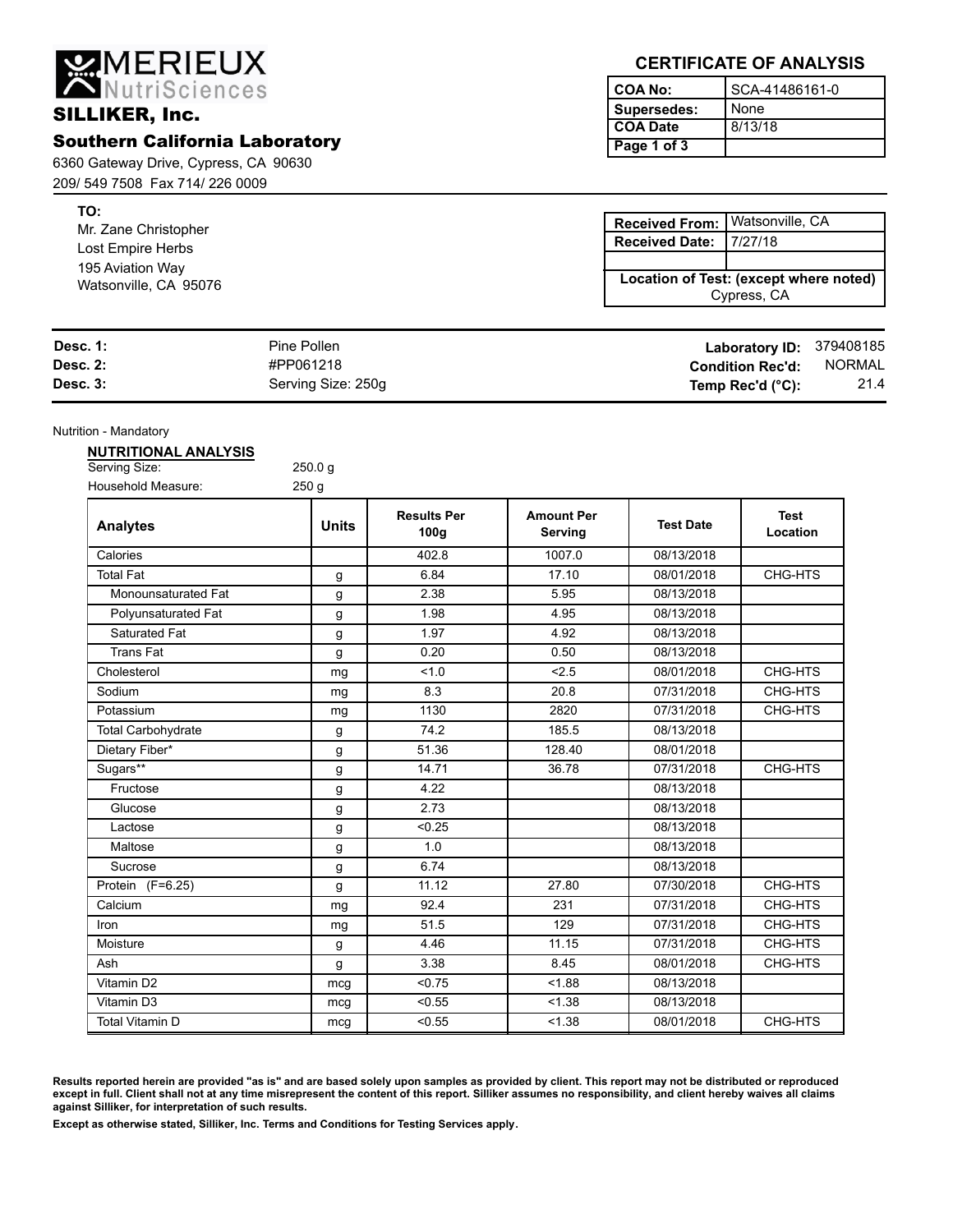**Southern California Laboratory** 6360 Gateway Drive, Cypress, CA 90630

MERIEUX

209/ 549 7508 Fax 714/ 226 0009

Mr. Zane Christopher

Lost Empire Herbs 195 Aviation Way Watsonville, CA 95076

SILLIKER, Inc.

**TO:**

## **CERTIFICATE OF ANALYSIS**

| l COA No:   | SCA-41486161-0 |
|-------------|----------------|
| Supersedes: | None           |
| l COA Date  | 8/13/18        |
| Page 1 of 3 |                |

| <b>Received From:</b> | Watsonville, CA                        |
|-----------------------|----------------------------------------|
| <b>Received Date:</b> | 17/27/18                               |
|                       |                                        |
|                       | Location of Test: (except where noted) |
| Cypress, CA           |                                        |

| <b>Desc. 1:</b> | Pine Pollen        | <b>Laboratory ID: 379408185</b> |        |
|-----------------|--------------------|---------------------------------|--------|
| <b>Desc. 2:</b> | #PP061218          | <b>Condition Rec'd:</b>         | NORMAL |
| <b>Desc. 3:</b> | Serving Size: 250g | Temp Rec'd $(^{\circ}C)$ :      | 21.4   |

Nutrition - Mandatory

### **NUTRITIONAL ANALYSIS** Serving Size: 250.0 g Household Measure: 250 g

| <b>Analytes</b>           | <b>Units</b> | <b>Results Per</b><br>100 <sub>g</sub> | <b>Amount Per</b><br>Serving | <b>Test Date</b> | <b>Test</b><br>Location |
|---------------------------|--------------|----------------------------------------|------------------------------|------------------|-------------------------|
| Calories                  |              | 402.8                                  | 1007.0                       | 08/13/2018       |                         |
| <b>Total Fat</b>          | g            | 6.84                                   | 17.10                        | 08/01/2018       | CHG-HTS                 |
| Monounsaturated Fat       | g            | 2.38                                   | 5.95                         | 08/13/2018       |                         |
| Polyunsaturated Fat       | g            | 1.98                                   | 4.95                         | 08/13/2018       |                         |
| Saturated Fat             | g            | 1.97                                   | 4.92                         | 08/13/2018       |                         |
| <b>Trans Fat</b>          | g            | 0.20                                   | 0.50                         | 08/13/2018       |                         |
| Cholesterol               | mg           | 1.0                                    | 2.5                          | 08/01/2018       | CHG-HTS                 |
| Sodium                    | mg           | 8.3                                    | 20.8                         | 07/31/2018       | CHG-HTS                 |
| Potassium                 | mg           | 1130                                   | 2820                         | 07/31/2018       | CHG-HTS                 |
| <b>Total Carbohydrate</b> | g            | 74.2                                   | 185.5                        | 08/13/2018       |                         |
| Dietary Fiber*            | g            | 51.36                                  | 128.40                       | 08/01/2018       |                         |
| Sugars**                  | g            | 14.71                                  | 36.78                        | 07/31/2018       | CHG-HTS                 |
| Fructose                  | g            | 4.22                                   |                              | 08/13/2018       |                         |
| Glucose                   | g            | 2.73                                   |                              | 08/13/2018       |                         |
| Lactose                   | g            | < 0.25                                 |                              | 08/13/2018       |                         |
| Maltose                   | g            | 1.0                                    |                              | 08/13/2018       |                         |
| Sucrose                   | g            | 6.74                                   |                              | 08/13/2018       |                         |
| Protein (F=6.25)          | g            | 11.12                                  | 27.80                        | 07/30/2018       | CHG-HTS                 |
| Calcium                   | mg           | 92.4                                   | 231                          | 07/31/2018       | CHG-HTS                 |
| Iron                      | mg           | 51.5                                   | 129                          | 07/31/2018       | CHG-HTS                 |
| Moisture                  | g            | 4.46                                   | 11.15                        | 07/31/2018       | CHG-HTS                 |
| Ash                       | g            | 3.38                                   | 8.45                         | 08/01/2018       | CHG-HTS                 |
| Vitamin D2                | mcg          | < 0.75                                 | < 1.88                       | 08/13/2018       |                         |
| Vitamin D3                | mcg          | < 0.55                                 | < 1.38                       | 08/13/2018       |                         |
| <b>Total Vitamin D</b>    | mcg          | < 0.55                                 | < 1.38                       | 08/01/2018       | CHG-HTS                 |

**Results reported herein are provided "as is" and are based solely upon samples as provided by client. This report may not be distributed or reproduced except in full. Client shall not at any time misrepresent the content of this report. Silliker assumes no responsibility, and client hereby waives all claims against Silliker, for interpretation of such results.**

**Except as otherwise stated, Silliker, Inc. Terms and Conditions for Testing Services apply.**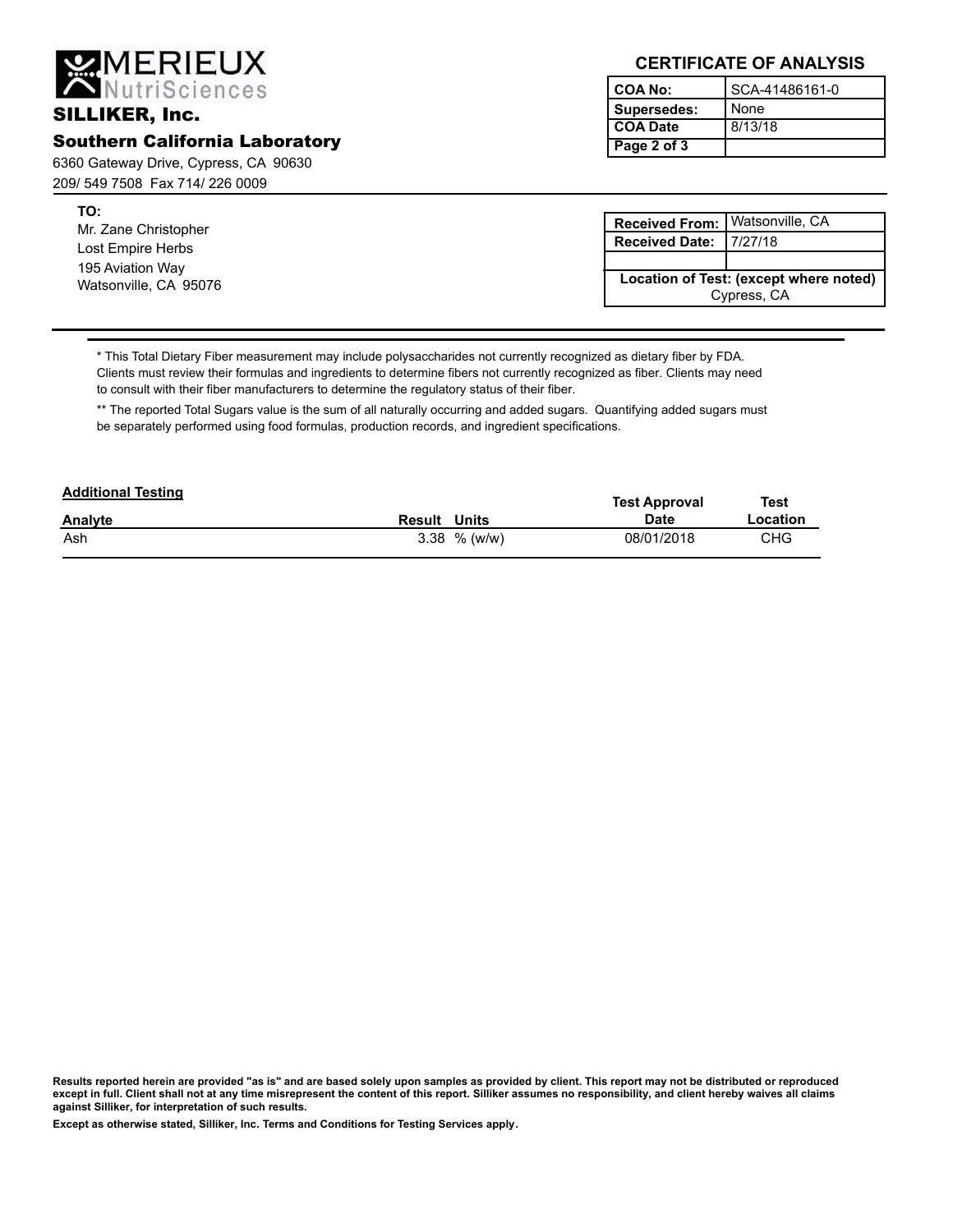

# SILLIKER, Inc.

**TO:**

Mr. Zane Christopher

Lost Empire Herbs 195 Aviation Way Watsonville, CA 95076

## **Southern California Laboratory**

6360 Gateway Drive, Cypress, CA 90630 209/ 549 7508 Fax 714/ 226 0009

## **CERTIFICATE OF ANALYSIS**

| l COA No:              | SCA-41486161-0 |
|------------------------|----------------|
| Supersedes:            | None           |
| <b>COA Date</b>        | 8/13/18        |
| $\sqrt{P}$ Page 2 of 3 |                |

| <b>Received From:   Watsonville, CA</b> |                                        |  |
|-----------------------------------------|----------------------------------------|--|
| Received Date: 17/27/18                 |                                        |  |
|                                         |                                        |  |
|                                         | Location of Test: (except where noted) |  |
| Cypress, CA                             |                                        |  |

\* This Total Dietary Fiber measurement may include polysaccharides not currently recognized as dietary fiber by FDA.<br>Clients must review their formulas and ingredients to determine fibers not currently recognized as fiber. to consult with their fiber manufacturers to determine the regulatory status of their fiber.

\*\* The reported Total Sugars value is the sum of all naturally occurring and added sugars. Quantifying added sugars must be separately performed using food formulas, production records, and ingredient specifications.

| <b>Additional Testing</b> |                     |                 | <b>Test Approval</b> | <b>Test</b> |
|---------------------------|---------------------|-----------------|----------------------|-------------|
| Analyte                   | <b>Result Units</b> |                 | <b>Date</b>          | Location    |
| Ash                       |                     | $3.38 \%$ (w/w) | 08/01/2018           | CHG         |

**Results reported herein are provided "as is" and are based solely upon samples as provided by client. This report may not be distributed or reproduced except in full. Client shall not at any time misrepresent the content of this report. Silliker assumes no responsibility, and client hereby waives all claims against Silliker, for interpretation of such results.**

**Except as otherwise stated, Silliker, Inc. Terms and Conditions for Testing Services apply.**